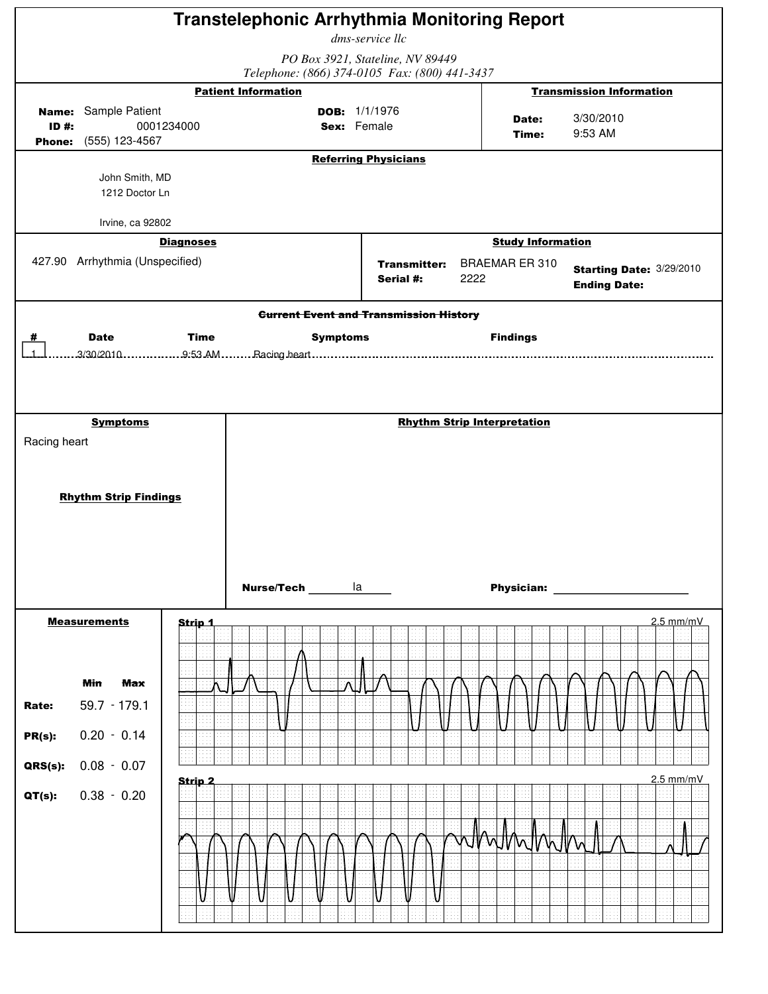|                                         |                                                                                               |                          | <b>Transtelephonic Arrhythmia Monitoring Report</b>                         | dms-service llc                  |      |                                                   |                                                 |
|-----------------------------------------|-----------------------------------------------------------------------------------------------|--------------------------|-----------------------------------------------------------------------------|----------------------------------|------|---------------------------------------------------|-------------------------------------------------|
|                                         |                                                                                               |                          |                                                                             | PO Box 3921, Stateline, NV 89449 |      |                                                   |                                                 |
|                                         |                                                                                               |                          | Telephone: (866) 374-0105 Fax: (800) 441-3437<br><b>Patient Information</b> |                                  |      |                                                   | <b>Transmission Information</b>                 |
| $ID#$ :                                 | <b>Name:</b> Sample Patient<br>Phone: (555) 123-4567                                          | 0001234000               | Sex: Female                                                                 | DOB: $1/1/1976$                  |      | Date:<br>Time:                                    | 3/30/2010<br>9:53 AM                            |
|                                         |                                                                                               |                          |                                                                             | <b>Referring Physicians</b>      |      |                                                   |                                                 |
|                                         | John Smith, MD<br>1212 Doctor Ln                                                              |                          |                                                                             |                                  |      |                                                   |                                                 |
|                                         | Irvine, ca 92802                                                                              |                          |                                                                             |                                  |      |                                                   |                                                 |
|                                         | 427.90 Arrhythmia (Unspecified)                                                               | <b>Diagnoses</b>         |                                                                             | <b>Transmitter:</b>              |      | <b>Study Information</b><br><b>BRAEMAR ER 310</b> |                                                 |
|                                         |                                                                                               |                          |                                                                             | Serial #:                        | 2222 |                                                   | Starting Date: 3/29/2010<br><b>Ending Date:</b> |
|                                         |                                                                                               |                          | <b>Current Event and Transmission History</b>                               |                                  |      |                                                   |                                                 |
|                                         | <b>Date</b>                                                                                   | <b>Time</b>              | <b>Symptoms</b>                                                             |                                  |      | <b>Findings</b>                                   |                                                 |
| Racing heart                            | <b>Symptoms</b>                                                                               |                          |                                                                             |                                  |      | <b>Rhythm Strip Interpretation</b>                |                                                 |
|                                         | <b>Rhythm Strip Findings</b>                                                                  |                          | <b>Nurse/Tech</b> la                                                        |                                  |      | <b>Physician:</b>                                 |                                                 |
|                                         | <b>Measurements</b>                                                                           | Strip <sub>1</sub>       |                                                                             |                                  |      |                                                   | $2.5$ mm/mV                                     |
| Rate:<br>$PR(s)$ :<br>QRS(s):<br>QT(s): | <b>Min</b><br><b>Max</b><br>$59.7 - 179.1$<br>$0.20 - 0.14$<br>$0.08 - 0.07$<br>$0.38 - 0.20$ | 44<br>Strip <sub>2</sub> |                                                                             |                                  |      | <u>WMWWW</u>                                      | $2.5$ mm/mV                                     |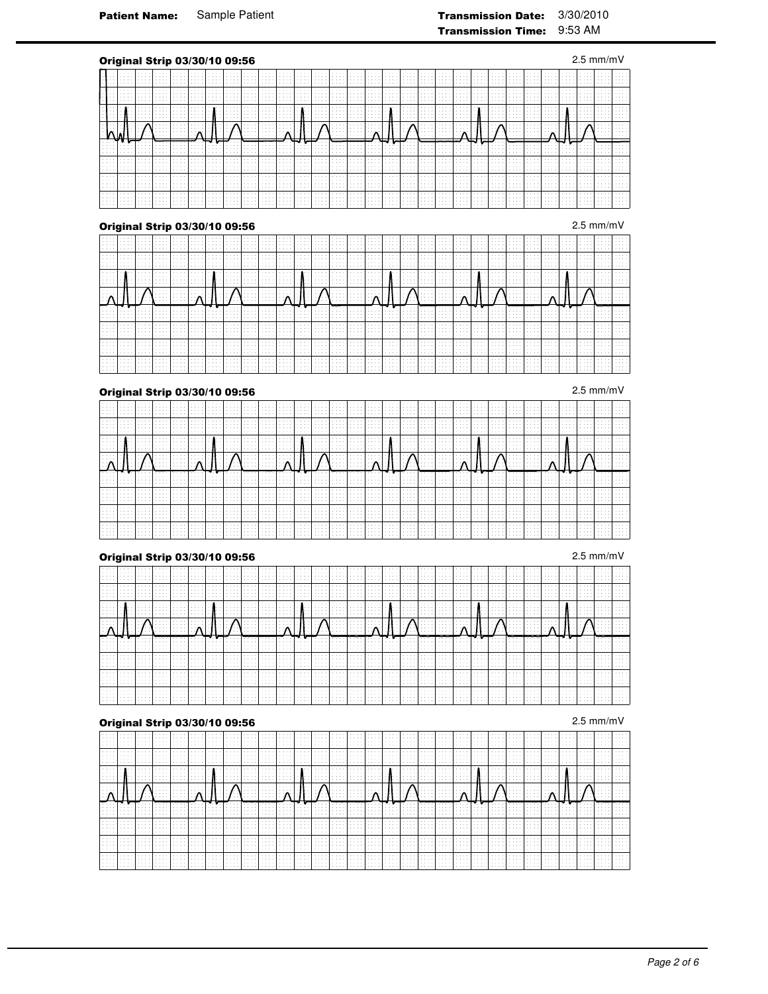|                                                   |   |                                            |        |                                 |        |                      | Original Strip 03/30/10 09:56 |        |  |   |  |  |  |     |  |  |                                                                      |             |                     | $2.5 \text{ mm/mV}$  |        |
|---------------------------------------------------|---|--------------------------------------------|--------|---------------------------------|--------|----------------------|-------------------------------|--------|--|---|--|--|--|-----|--|--|----------------------------------------------------------------------|-------------|---------------------|----------------------|--------|
|                                                   |   | 1.1.1.1                                    |        |                                 |        |                      |                               |        |  |   |  |  |  |     |  |  |                                                                      |             | .                   |                      |        |
|                                                   |   |                                            |        |                                 |        |                      |                               |        |  |   |  |  |  |     |  |  |                                                                      |             |                     |                      |        |
|                                                   |   | 14.14<br><b>Contract Contract Contract</b> |        | <b>Contract Contract</b><br>14. | .      |                      |                               |        |  |   |  |  |  |     |  |  |                                                                      |             |                     |                      |        |
|                                                   |   |                                            |        | 14.                             |        |                      |                               |        |  |   |  |  |  |     |  |  |                                                                      |             |                     |                      |        |
|                                                   |   |                                            |        | .                               |        |                      |                               |        |  |   |  |  |  |     |  |  |                                                                      |             |                     |                      |        |
| .<br>.                                            |   | 14.<br>. .                                 |        | - 3                             |        |                      |                               |        |  |   |  |  |  |     |  |  |                                                                      |             | . .                 |                      |        |
| $\sim$ $\sim$ $\sim$<br>All Arrest                |   | .<br>and and                               |        | - 30<br>- 30                    |        |                      |                               |        |  |   |  |  |  |     |  |  |                                                                      |             | .                   |                      |        |
| $\sim$ $\sim$ $\sim$<br>$\sim$ $\sim$ $\sim$<br>. | . | .<br>.                                     | .<br>. | .<br>.<br>.                     | .<br>. | $\sim$ $\sim$ $\sim$ |                               | $\sim$ |  | . |  |  |  | . . |  |  | $\sim$ $\sim$ $\sim$<br>$\sim$ $\sim$ $\sim$<br>$\sim$ $\sim$ $\sim$ | .<br>.<br>. | 1.111<br>1.1.1<br>. | $\sim$ $\sim$ $\sim$ | $\sim$ |
|                                                   |   |                                            |        |                                 |        |                      |                               |        |  |   |  |  |  |     |  |  |                                                                      |             |                     |                      |        |

|             |                    |                              |                      |                          |      |                                 |                         | .<br>. |                                         | .<br>Alberta Co            | .                              | 1.1.1.1<br>.<br>.<br>.                                       |                                                               |        |                      | .<br>.<br>.                     | .<br>.<br>.                          | .           | 1.1.1.1 | 1.1.1.1<br>1.1.1.1<br>.                       | .                                      | <b>Allen Arts</b>                         |        |                         |                             |                   |
|-------------|--------------------|------------------------------|----------------------|--------------------------|------|---------------------------------|-------------------------|--------|-----------------------------------------|----------------------------|--------------------------------|--------------------------------------------------------------|---------------------------------------------------------------|--------|----------------------|---------------------------------|--------------------------------------|-------------|---------|-----------------------------------------------|----------------------------------------|-------------------------------------------|--------|-------------------------|-----------------------------|-------------------|
|             |                    |                              |                      |                          |      | .                               |                         | .      | .<br>.                                  |                            | .                              | <b>Allen Artists</b><br>.<br>.                               | <b>Contract Contract Contract</b><br>.                        | .      | .                    | .<br>.<br>1.1.1.1<br>.          | .<br>.                               | .           | .       | .<br>.                                        |                                        |                                           |        | .<br>.                  |                             |                   |
| .<br>.<br>. | 1.1.1.1<br>1.1.1.1 |                              |                      | - 4<br>. .               | .    | .<br>All Andrews                | .                       | .<br>. | - 4                                     | 1.1.1.1<br>.               | .                              | .<br>1.1.1.1<br>.                                            | the property of the<br>.<br>.                                 |        | .<br>.               | .<br>.<br>.                     | .<br>.<br>.                          | .<br>.      |         | 1.1.1.1<br>1.1.1.1<br>.                       | .<br><b>Contract Contract Contract</b> | .                                         | .<br>. |                         | 1.111<br><b>All All And</b> |                   |
| .           |                    |                              |                      |                          | - 14 |                                 | 1.1.1.1<br>.<br>.       | .      |                                         | - 44                       | <b>Service</b> St.<br>$\cdots$ | .<br><b>Service State</b><br>.<br>.                          | .                                                             |        | .                    | .<br>.                          | .<br>.<br>.                          | .           |         | .                                             |                                        | 1.1.1.1<br>.                              | .<br>. |                         |                             |                   |
|             | .                  | the state of the<br>$\cdots$ | <b>Service State</b> | <b>Allen Arrest</b><br>. | .    | the state of the<br>.           | the company's<br>.<br>. | .      | — …— —<br>the contract of the con-<br>. | the contract of<br>.       | 1777 L<br>.<br>.               | <b>Service State</b><br>1.1.1.1<br>.                         | the company's company's company's<br>the contract of the<br>. | .<br>. | the contract of<br>. | .<br>.                          | 1 <del>.</del> 1.<br>.<br>.          | .           | .<br>.  | <b>VIII</b><br>.<br>.                         | 1.7.7.7.7<br>.                         | <del>.</del><br><b>Allen Artists</b><br>. | .<br>. | <b>Allen Allen</b><br>. | .<br>.                      |                   |
| .           |                    |                              |                      |                          |      | .                               |                         | .<br>. |                                         | Alberta Co<br>.            |                                | <b>Service State</b><br>.<br>.                               |                                                               | .      |                      | <b>Service</b> A<br>.<br>.      | <b>Sales Andrew</b><br>.<br>.        | All Andrews |         | <b>Service</b> State<br>1.1.1.1<br>Alberta Co | .                                      | 1.1.1.1                                   |        |                         |                             |                   |
|             |                    |                              |                      | and and                  |      | .                               | .                       | .      | .<br><b>Allen Allen</b><br>.            | .                          | .                              | <b>Allen Artists</b><br><b>Allen Artists</b><br>1.1.1.1<br>. | .                                                             | .      | $-11.1$<br>.         | .<br>.<br>.<br>the state of the | .<br>.<br>.<br>.                     | .           | .       | .<br>.<br>.                                   | .<br>.                                 | .<br>.                                    |        | .                       |                             |                   |
| .           | 1.1.1.1            | $\cdots$                     |                      | .                        |      | $\sim$ $\sim$ $\sim$<br>1.1.1.1 | .                       | .      | .<br>.<br>.                             | Alberta Co<br>.<br>1.1.1.1 | .                              | 1.1.1.1<br>.<br>.                                            |                                                               |        | .                    | .<br>.<br>.                     | the company of the company<br>.<br>. | .           | .<br>.  | .                                             | .<br>.                                 | .<br>.                                    | .      | .                       | .                           | <b>Allen Arts</b> |

## **Original Strip 03/30/10 09:56** 2.5 mm/mV

|   |  |         |                  |   |   | <b>Allen Arrest</b> |              | .<br>All Andrews     | 1.1.1.1<br>and and  | 1.1.1.1<br>.       | .      | 1.1.1.1            | 1.1.1.1<br>.                            | <b>Service</b> Advertise<br><b>Allen Artists</b> |                                             | <b>Allen Allen</b> | 1.1.1.1<br><b>State State</b>  | .<br>.             | .                                                                                                                        |                           | . | 1.1.1.1<br>the state of the                    |        | .      |                                   | <b>Allen Allen</b> |                   |                   |
|---|--|---------|------------------|---|---|---------------------|--------------|----------------------|---------------------|--------------------|--------|--------------------|-----------------------------------------|--------------------------------------------------|---------------------------------------------|--------------------|--------------------------------|--------------------|--------------------------------------------------------------------------------------------------------------------------|---------------------------|---|------------------------------------------------|--------|--------|-----------------------------------|--------------------|-------------------|-------------------|
|   |  |         |                  |   |   |                     |              | .<br>.               | .                   | .                  | .<br>. | 1.1.1.1<br>1.1.1.1 | .                                       | <b>Service</b> St.<br>1.1.1.1<br>.               |                                             |                    | 1.1.1.1                        | .<br>.<br>.        | .<br>.                                                                                                                   |                           | . | .<br>.                                         | .<br>. | .<br>. |                                   |                    |                   |                   |
| . |  | 1.1.1.1 |                  |   |   | and a ser           | .            | .                    | <b>Allen Adams</b>  | 1.1.1.1<br>.       |        | 1.1.1.1<br>1.1.1.1 | .                                       | <b>Sales Andrew</b><br>1.1.1.1                   | .<br>.                                      |                    | the contract of the<br>1.1.1.1 | . 1<br>.<br>.<br>. | .                                                                                                                        | .<br>.                    | . | 1.1.1.1<br>1.1.1.1<br>.<br>1.1.1.1             | .      | .      | <b>Contract Contract Contract</b> | . .                | <b>Allen Arts</b> |                   |
|   |  |         | the state of the |   |   |                     | .            | <b>Service State</b> | .                   |                    |        | ⇒∴∧⊥               | the state of the con-<br>and Allena and | .<br>contract and a series                       | <b>All All All Advised Association</b><br>. |                    | ⋯∧∣                            | .                  |                                                                                                                          | .                         |   | $\mathbf{B} \cdot \mathbf{I} \cdot \mathbf{A}$ |        |        |                                   |                    |                   |                   |
|   |  | .       | the state of the | . | . | <b>Allen Allen</b>  | $\mathbf{r}$ |                      | ः या यान <b>् त</b> | <b>Allen Adams</b> | .      | .                  | .                                       | <b>Allen Avenue</b><br><b>Allen Avenue</b>       |                                             | .                  | .                              | .<br>.             | March 19 Hours of the County of the March 19 Hours and the County of the County of the County of the County of<br>.<br>. | .                         | . | $\blacksquare$<br>.                            | .      |        |                                   | .                  | .                 |                   |
|   |  |         |                  |   |   |                     |              | 1.1.1.1              |                     | .<br>.<br>1.1.1.1  | .      | .<br>1.1.1.1       | .                                       | 1.1.1.1<br>1.1.1.1<br>.                          | .                                           |                    | .                              | .<br>.<br>.        | .<br>.                                                                                                                   | $\sim$ $\sim$ $\sim$      |   | 1.1.1.1                                        | .      | .      |                                   | .                  |                   | <b>Allen Arts</b> |
| . |  |         |                  |   |   |                     |              | 1.1.1.1              | .                   | 1.1.1.1<br>.       |        | 1.1.1.1<br>.       | .<br>$\cdots$                           | .<br>1.1.1.1<br>1.1.1.1                          |                                             |                    | 1.1.1.1                        | .<br>.<br>1.1.1.1  | .<br>.                                                                                                                   |                           |   | .                                              | .      | .      |                                   |                    |                   |                   |
|   |  |         |                  |   |   | .                   |              | .                    | .                   | 1.111              | .      | 1.111<br>.         | 1.1.1.1                                 | 1.1.1.1<br><b>Allen Avenue</b>                   | .                                           | .                  |                                | .<br>.             | .<br>.<br>.                                                                                                              | $\sim$ $\sim$ $\sim$<br>. | . | .<br>.                                         | .      |        |                                   | <b>Allen Allen</b> |                   |                   |

# **Original Strip 03/30/10 09:56** 2.5 mm/mV

|   |   |  |   |                  |               |   |                     |   |    |   |      |       |                  |         |   | .                  |              |         |   |      |  |  |
|---|---|--|---|------------------|---------------|---|---------------------|---|----|---|------|-------|------------------|---------|---|--------------------|--------------|---------|---|------|--|--|
|   |   |  |   |                  |               |   |                     |   |    |   |      |       |                  |         |   |                    | .            |         |   |      |  |  |
|   |   |  |   | $\sim$ 4. $\sim$ |               | . | <b>Allen Avenue</b> |   |    |   | .    | .     |                  | 1.1.1.1 | . | <b>Allen Adams</b> |              | 1.1.1.1 |   |      |  |  |
|   |   |  |   |                  |               |   |                     |   |    |   |      |       |                  |         |   |                    |              |         |   |      |  |  |
|   |   |  |   |                  |               |   |                     |   |    |   |      |       |                  |         |   |                    |              |         |   | - 11 |  |  |
|   |   |  |   |                  |               |   |                     |   |    |   |      |       |                  |         |   | 1.111              |              |         |   |      |  |  |
|   |   |  |   |                  |               |   |                     |   |    |   |      |       |                  |         |   |                    |              |         |   |      |  |  |
| . |   |  |   |                  |               |   |                     | . |    |   |      | .     |                  |         |   | .                  |              |         | . |      |  |  |
|   |   |  |   |                  |               |   |                     |   |    | . |      |       |                  |         |   |                    |              |         |   |      |  |  |
|   |   |  |   |                  |               |   |                     |   |    |   |      |       |                  |         |   |                    |              |         |   |      |  |  |
|   |   |  |   |                  |               |   |                     |   |    |   |      |       |                  |         |   |                    |              |         |   |      |  |  |
|   |   |  |   |                  |               |   |                     |   |    |   |      |       |                  |         |   |                    |              |         |   |      |  |  |
|   | . |  | — |                  | <del>v.</del> |   |                     | — | n. |   | ---- | 77. 7 | r. <del>a.</del> | --      |   |                    | <del>.</del> |         | — |      |  |  |
|   |   |  |   |                  |               |   |                     |   |    |   |      |       |                  |         |   |                    |              |         |   |      |  |  |
|   |   |  |   |                  |               |   |                     |   |    |   |      |       |                  |         |   | 77. L.T            |              |         |   |      |  |  |
|   |   |  |   |                  |               | . |                     |   |    |   |      |       |                  |         |   |                    |              |         |   |      |  |  |
|   |   |  |   |                  |               |   |                     |   |    |   |      |       |                  |         |   |                    |              |         |   |      |  |  |
|   |   |  |   |                  |               |   |                     |   |    |   |      |       |                  |         |   |                    |              |         |   |      |  |  |
|   |   |  |   |                  |               |   |                     |   |    |   |      |       |                  |         |   |                    |              |         |   |      |  |  |
|   |   |  |   |                  |               |   |                     |   |    |   |      |       |                  |         |   |                    |              |         |   |      |  |  |
|   |   |  |   |                  |               |   |                     |   |    |   |      |       |                  |         |   |                    |              |         |   |      |  |  |
|   |   |  |   |                  |               |   |                     |   |    |   |      |       |                  |         |   |                    |              |         |   |      |  |  |
|   |   |  |   |                  |               |   |                     |   |    |   |      |       |                  |         |   |                    |              |         |   |      |  |  |
|   |   |  |   |                  |               |   |                     |   |    |   |      |       |                  |         |   |                    |              |         |   |      |  |  |
|   |   |  |   |                  |               |   |                     |   |    |   |      |       |                  |         |   |                    |              |         |   |      |  |  |
|   |   |  |   |                  |               |   |                     |   |    |   |      |       |                  |         |   |                    |              |         |   |      |  |  |
|   |   |  |   |                  |               |   |                     |   |    |   |      |       |                  |         |   |                    |              |         |   |      |  |  |
|   |   |  |   |                  |               |   |                     |   |    |   |      |       |                  |         |   |                    |              |         |   |      |  |  |
|   |   |  |   |                  |               |   |                     |   |    |   |      |       |                  |         |   |                    |              |         |   |      |  |  |
|   |   |  |   |                  |               |   |                     |   |    |   |      |       |                  |         |   |                    |              |         |   |      |  |  |
|   |   |  |   |                  |               |   |                     |   |    |   |      |       |                  |         |   |                    |              |         |   |      |  |  |
|   |   |  |   |                  |               |   |                     |   |    |   |      |       |                  |         |   |                    |              |         |   |      |  |  |
|   |   |  |   |                  |               |   |                     |   |    |   |      |       |                  |         |   |                    |              |         |   |      |  |  |

|   |                     |                 |                      |   |                              |                                |                  |   |        |   |                  |   | .                     | .                |                   |                                   |   |                          |       |                |   |         |   |        |  |
|---|---------------------|-----------------|----------------------|---|------------------------------|--------------------------------|------------------|---|--------|---|------------------|---|-----------------------|------------------|-------------------|-----------------------------------|---|--------------------------|-------|----------------|---|---------|---|--------|--|
|   |                     |                 |                      |   |                              |                                |                  |   |        |   |                  | . | and and               |                  |                   |                                   | . | <b>Allen Artists</b>     |       |                |   |         |   |        |  |
|   |                     |                 |                      |   |                              |                                |                  |   |        |   |                  |   |                       |                  |                   |                                   |   |                          |       |                |   |         |   |        |  |
|   |                     |                 |                      |   |                              |                                |                  |   |        |   |                  |   |                       |                  |                   |                                   |   |                          |       |                |   |         |   |        |  |
|   |                     |                 |                      |   |                              |                                |                  |   |        |   |                  |   |                       |                  |                   |                                   |   |                          |       |                |   |         |   |        |  |
|   |                     |                 |                      |   |                              |                                |                  |   |        |   |                  |   |                       |                  |                   |                                   |   |                          |       |                |   |         |   |        |  |
|   |                     |                 |                      |   |                              |                                |                  |   |        |   |                  |   |                       |                  |                   |                                   |   |                          |       |                |   |         |   |        |  |
|   |                     |                 |                      |   |                              | .                              |                  |   |        |   |                  |   |                       |                  |                   |                                   |   |                          |       |                |   |         |   |        |  |
|   |                     |                 |                      |   |                              | 1.1.1.1                        |                  |   |        |   |                  |   |                       |                  |                   |                                   |   |                          |       |                |   |         |   |        |  |
| . |                     |                 |                      |   | and the contract of the con- | <b>All All And</b><br>.        |                  |   |        |   |                  | . |                       |                  |                   |                                   |   |                          |       |                |   |         |   |        |  |
|   |                     |                 |                      |   |                              |                                |                  |   |        |   |                  |   |                       |                  |                   |                                   |   |                          |       |                |   |         |   |        |  |
|   |                     | $-11 - 12 - 12$ |                      | . |                              | .<br>.                         |                  |   | .<br>. |   | .<br>.           |   | .                     | .                |                   | ka ka matsayin ka matsayin ka san | . |                          |       | .              |   |         |   |        |  |
|   |                     |                 |                      |   |                              |                                |                  |   |        |   |                  |   |                       |                  |                   |                                   |   |                          |       |                |   |         |   |        |  |
|   |                     |                 |                      |   |                              |                                |                  |   |        |   |                  |   |                       |                  |                   |                                   |   |                          |       |                |   |         |   |        |  |
|   |                     |                 |                      |   |                              |                                |                  |   |        |   |                  |   |                       |                  |                   |                                   |   |                          |       |                |   |         |   |        |  |
|   | the contract of the |                 | <b>Allen Artists</b> |   |                              |                                | the state of the | . |        |   | — <del>—</del> — | . | the state of the con- | the state of the | r. <del>. .</del> |                                   | . | the contract of the con- | 5. TP | $\overline{r}$ | . | and and | . |        |  |
|   |                     | .               |                      |   |                              | $\mathbf{v}_{\text{max}}$<br>. |                  |   |        | . |                  |   |                       | 1.1.1.1          | .                 |                                   |   |                          |       |                |   |         |   | $\sim$ |  |
|   |                     |                 |                      |   |                              |                                |                  |   |        |   |                  |   |                       |                  |                   |                                   |   |                          |       |                |   |         |   |        |  |
|   |                     |                 |                      |   |                              |                                |                  |   |        |   |                  |   |                       |                  |                   |                                   |   |                          |       |                |   |         |   |        |  |
|   |                     |                 |                      |   |                              |                                |                  |   |        |   |                  |   |                       |                  |                   |                                   |   |                          |       |                |   |         |   |        |  |
|   |                     |                 |                      |   |                              |                                |                  |   |        |   |                  |   |                       |                  |                   |                                   |   |                          |       |                |   |         |   |        |  |
| . |                     |                 |                      |   | .                            |                                |                  |   |        |   |                  | . | .                     |                  |                   |                                   |   |                          |       |                |   |         |   |        |  |
|   | .                   |                 | 1.1.1.1              |   |                              |                                | 1.1.1.1          |   | .      |   |                  |   | .                     |                  |                   |                                   | . |                          | .     |                |   |         |   |        |  |
|   |                     |                 |                      |   |                              |                                |                  |   |        |   |                  |   |                       |                  |                   |                                   |   |                          |       |                |   |         |   |        |  |
|   |                     |                 |                      |   |                              |                                |                  |   |        |   |                  |   |                       |                  |                   |                                   |   |                          |       |                |   |         |   |        |  |
|   |                     |                 |                      |   |                              |                                |                  |   |        |   |                  |   |                       |                  |                   |                                   |   |                          |       |                |   |         |   |        |  |
|   |                     |                 |                      |   |                              |                                |                  |   |        |   |                  |   |                       |                  |                   |                                   |   |                          |       |                |   |         |   |        |  |
|   |                     |                 |                      |   |                              |                                |                  |   |        |   |                  |   |                       |                  |                   |                                   |   |                          |       |                |   |         |   |        |  |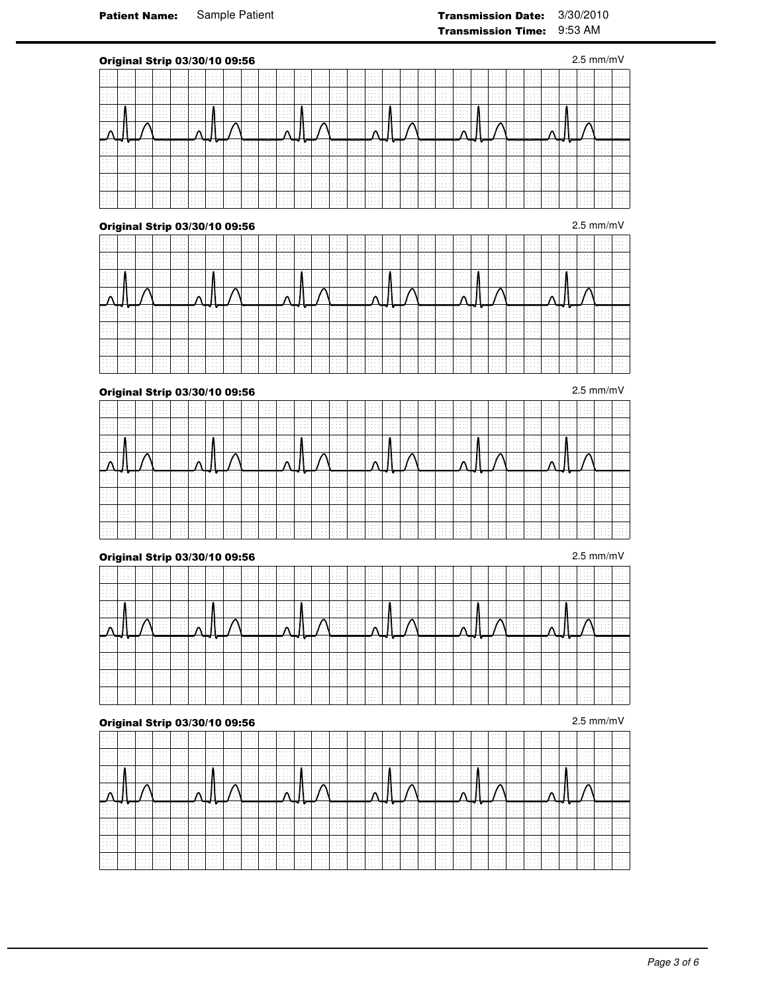|                                                                                            |                                | Original Strip 03/30/10 09:56                                      |   |            |   |                           |             |                             |  |  |  |  |  |                                                   |                                             |                                                  |   |                                   |                  |        |                           |                                                                | $2.5 \text{ mm/mV}$ |                             |
|--------------------------------------------------------------------------------------------|--------------------------------|--------------------------------------------------------------------|---|------------|---|---------------------------|-------------|-----------------------------|--|--|--|--|--|---------------------------------------------------|---------------------------------------------|--------------------------------------------------|---|-----------------------------------|------------------|--------|---------------------------|----------------------------------------------------------------|---------------------|-----------------------------|
| $\sim$ $\sim$ $\sim$<br>.                                                                  |                                | .<br>1.111<br>.<br>.                                               |   |            |   | .<br>$\sim$ $\sim$ $\sim$ | $\sim$<br>. |                             |  |  |  |  |  |                                                   |                                             |                                                  |   |                                   |                  |        |                           |                                                                |                     |                             |
| .<br>.<br>$\sim$ $\sim$ $\sim$                                                             | .<br>$\sim$                    | Alberta Co<br>1.111<br>.<br>Alberta Co                             | . | .<br>.     |   | $\sim$ $\sim$<br>.<br>.   | .           | $\cdots$<br>.               |  |  |  |  |  | $\sim$                                            | .<br>.                                      | $\sim$ $\sim$ $\sim$<br>$\sim$<br>$\cdots$       |   |                                   | . .              |        | $\cdots$<br>.             | <b>Contract Contract Contract</b><br><b><i><u>ALCO</u></i></b> |                     |                             |
| and and<br>$\sim$ $\sim$ $\sim$<br>.<br>.                                                  |                                | .<br>.<br>.                                                        | . | 1.1.1      |   |                           | .<br>. .    | $\sim$ $\sim$ $\sim$        |  |  |  |  |  | $\sim$                                            |                                             |                                                  |   | .                                 | .                | $\sim$ |                           | <b><i><u>ALCO</u></i></b>                                      | .                   |                             |
|                                                                                            |                                |                                                                    |   |            |   |                           |             |                             |  |  |  |  |  |                                                   |                                             |                                                  |   |                                   |                  |        |                           |                                                                |                     |                             |
|                                                                                            |                                | Alberta Co<br>.<br>.<br>.                                          | . | .          | . |                           | .<br>$\sim$ | $\sim$ $\sim$ $\sim$        |  |  |  |  |  | $\sim$ $\sim$ $\sim$                              | .                                           |                                                  |   | <b>Contract Contract Contract</b> | .                | .      |                           |                                                                | .                   |                             |
| .<br>.<br>.<br>.                                                                           | .                              | $\sim$ $\sim$ $\sim$<br>and an<br>.<br>Alberta Co                  | . | .<br>.     |   |                           | 14.44       |                             |  |  |  |  |  | .                                                 | $\sim$ $\sim$ $\sim$                        | $\sim$<br>$\sim$<br>$\sim$<br>$\cdots$           |   |                                   |                  |        | .                         |                                                                |                     |                             |
| $\sim$ $\sim$ $\sim$<br>.<br>.                                                             |                                | All Arrest<br>and an<br>and an<br>.                                |   |            |   |                           |             |                             |  |  |  |  |  | .                                                 | $\cdots$                                    | $\sim$<br>$\sim$<br>$\sim$                       |   |                                   |                  |        |                           |                                                                |                     |                             |
| $\sim$ $\sim$ $\sim$<br>$\sim$ $\sim$ $\sim$<br>$\alpha$ , $\alpha$ , $\alpha$<br>$\cdots$ | .<br><b><i><u>ALCO</u></i></b> | $\sim$ $\sim$ $\sim$<br>.<br>$\sim$ $\sim$<br>$\sim$ $\sim$ $\sim$ | . | 1.1.1<br>. |   | 1.111                     | .<br>.      | $\sim$ $\sim$ $\sim$<br>. . |  |  |  |  |  | $\sim$ $\sim$ $\sim$<br>$\sim$ $\sim$ $\sim$<br>. | and and<br>$\sim$ $\sim$ $\sim$<br>$\cdots$ | 1.111<br>$\sim$ $\sim$<br>1.111<br>$\sim$ $\sim$ | . | $\sim$ $\sim$ $\sim$<br>.         | $\sim$<br>$\sim$ | - 14   | $\sim$ $\sim$ $\sim$<br>. | <b>Contract</b><br><b>Contract Contract Contract</b>           | $\sim$              | $\sim$<br>$\sim$<br>1.1.1.1 |
|                                                                                            |                                | <b>Original Strip 03/30/10 09:56</b>                               |   |            |   |                           |             |                             |  |  |  |  |  |                                                   |                                             |                                                  |   |                                   |                  |        |                           |                                                                | $2.5$ mm/mV         |                             |

|   |   |         | ----- ---- |                      |                           |         |                                |         |                         |                                                |                          |               |                                                                               |              |                                                                                                                                |              |                            |                                                            |              |                         |                               |                                             |                                      |   |                         |                   |          |       |
|---|---|---------|------------|----------------------|---------------------------|---------|--------------------------------|---------|-------------------------|------------------------------------------------|--------------------------|---------------|-------------------------------------------------------------------------------|--------------|--------------------------------------------------------------------------------------------------------------------------------|--------------|----------------------------|------------------------------------------------------------|--------------|-------------------------|-------------------------------|---------------------------------------------|--------------------------------------|---|-------------------------|-------------------|----------|-------|
|   |   |         |            |                      |                           | 1.1.1.1 | 1.1.1.1<br>.                   |         | .<br>1.1.1.1<br>1.1.1.1 |                                                | .<br>.                   |               | 1.1.1.1<br>.<br>.                                                             |              |                                                                                                                                | .            | .<br>.                     | .<br>.                                                     |              |                         | .<br>.                        | .                                           |                                      |   |                         |                   |          |       |
|   |   |         |            |                      |                           |         |                                |         |                         |                                                |                          |               |                                                                               |              |                                                                                                                                |              |                            | .                                                          |              |                         |                               |                                             |                                      |   |                         |                   |          |       |
|   |   |         |            |                      | .                         |         | .                              | .       | .                       | <b>Allen Arrest</b>                            |                          |               | <b>Allen Artists</b><br>.<br>.                                                |              |                                                                                                                                |              | .<br>.<br>.                | the company of the company                                 |              |                         | .<br>.<br>.<br>.              | .<br>.                                      | 1.1.1.1                              | . | .                       |                   |          |       |
| . |   |         |            |                      |                           | 1.1.1.1 | 1.111                          |         | .<br>.                  |                                                | 1.1.1.1<br>.<br>.        |               | 1.1.1.1<br>.<br>.                                                             | .<br>.       |                                                                                                                                | .<br>.       | .<br>.<br>.                | .                                                          | .<br>.       |                         | 1.1.1.1<br>.<br>.             |                                             |                                      | . |                         | $\sim$ $\sim$     |          |       |
|   |   |         | .          |                      |                           |         | .<br>.                         | .       | .<br>.                  |                                                |                          | .<br>$\cdots$ | <b>Service</b> Advertise<br><b>Service State</b><br>.<br>.                    | 1.1.1.1<br>. |                                                                                                                                |              | .<br>.                     | .<br>.                                                     | 1.1.1.1<br>. |                         | - 4                           | .                                           | <b>Allen Arts</b><br>.               | . |                         |                   |          |       |
|   |   | .       | .          | <b>Allen Artists</b> | . .<br>.                  | .       | .<br>.<br>.                    | and and | .<br>.                  | . .<br>.                                       | .<br>1.1.1.1             | .<br>.        | <b>Service</b> And<br><b>Service State</b><br>1.1.1.1<br>.                    | .<br>.<br>.  | .                                                                                                                              | .<br>.       | 7.<br>.<br>.               | <b>Contract Contract</b><br><b>Service State</b><br>.<br>. | .            | .                       | .<br>.<br>.                   | .<br>.<br>.                                 | the company of the company<br>.<br>. |   | .<br>.                  | <b>Allen Arts</b> |          |       |
|   |   |         |            |                      |                           | 1.1.1.1 | .<br>.<br>$\sim$ $\sim$ $\sim$ |         |                         | <b>Allen Allen</b><br>.<br><b>Allen Arrest</b> | 1.1.1.1                  | .<br>.        | and and<br>.<br>1.1.1.1                                                       |              | .                                                                                                                              | .<br>1.1.1.1 | .<br>.<br>.                | .<br>.<br>.                                                |              | .<br>.<br>.             | <b>All All And</b><br>1.1.1.1 | <b>Contract Contract Contract</b><br>.<br>. | .<br>.<br>All Angeles                | . |                         |                   |          |       |
|   |   |         |            |                      | $\sim$ $\sim$ $\sim$<br>. |         | .<br>.                         | .<br>.  | .<br>.                  | .<br><b>Allen Allen</b><br>.                   | .<br>.                   | .<br>.<br>.   | <b>Allen Artists</b><br><b>Service State</b><br>.                             | .            | .                                                                                                                              | .<br>$-11.1$ | .<br>.<br>.<br>.           | .<br>the company of the company<br>.<br>.                  | .<br>.       | .<br>.<br>.             | .<br>.                        | .<br>.                                      | .                                    | . | .                       |                   |          |       |
| . | . | 1.1.1.1 |            | 1.1.1.1              | .                         |         | $\sim$ $\sim$ $\sim$<br>.      | .       | 1.1.1.1                 | the contract of                                | .<br>.<br>$-1.11 - 1.12$ | .             | <b>Allen Artists</b><br><b>Service</b> Advertise<br><b>Service</b> Advertised | .<br>1.1.1.1 | $\label{eq:1.1} \begin{array}{cccccccccccccc} \bullet & \bullet & \bullet & \bullet & \bullet & \bullet & \bullet \end{array}$ | .            | .<br><b>Service</b> A<br>. | the company of the company<br><b>Contractor</b><br>.       |              | .<br><b>Allen Allen</b> |                               | .<br>.<br>. 1                               | .<br>.<br>.                          | . | .<br><b>Allen Allen</b> | .<br>1.1.1.1      | $\cdots$ | 1.111 |

|                      | .                              | .      | .                 |                         | 1.1.1.1<br>.              | .                      | .<br>.       | . 1                                                       | 1.1.1.1                                             | .            | .<br><b>State State</b>   |                  | 1.1.1.1<br>. 1 1                                                      | the state of the    | and and<br>. 1      |                                          | .<br>.                            | . 1 1<br><b>Sales Andrew</b>                                                           | $\sim$ $\sim$ $\sim$                             |                            | .<br>.<br>.      |        |                                   |                           | <b>Allen Arrest</b>              |                   |   |  |
|----------------------|--------------------------------|--------|-------------------|-------------------------|---------------------------|------------------------|--------------|-----------------------------------------------------------|-----------------------------------------------------|--------------|---------------------------|------------------|-----------------------------------------------------------------------|---------------------|---------------------|------------------------------------------|-----------------------------------|----------------------------------------------------------------------------------------|--------------------------------------------------|----------------------------|------------------|--------|-----------------------------------|---------------------------|----------------------------------|-------------------|---|--|
| 1.1.1.1<br>.         | 1.1.1.1                        | .<br>. | .<br>.            |                         | .                         | .<br>.                 | 1.1.1.1      | .<br>.                                                    |                                                     | .<br>.       | 1.1.1.1<br>1.1.1.1        | 1.1.1.1<br>.     | <b>Contract Contract Contract</b><br>And Allen<br><b>Allen Avenue</b> | .                   | <b>ALC: NO</b><br>. | <b>Allen Adams</b>                       | .<br>the state of the             | <b>Allen Andre</b><br>.                                                                | .                                                |                            | .<br>.<br>.      | .<br>. | .<br>.                            |                           |                                  |                   |   |  |
|                      | .<br>.<br>.                    | .      |                   | <b>Allen Adams</b><br>. | .                         | .<br>1.1.1.1<br>.<br>. | .            | .                                                         | .<br>.<br>.                                         | .            | <b>Allen Adams</b><br>. 1 |                  |                                                                       | <b>Allen Adams</b>  |                     | .                                        |                                   |                                                                                        | . 1<br>. 1                                       |                            | .<br>.<br>.<br>. |        | .                                 | .<br>.<br>.               |                                  | <b>Allen Arts</b> |   |  |
|                      | 14, 14,                        |        | .                 | .                       |                           | $\cdots$ $\sim$        | 1.1.1.1<br>. | .<br>.<br>.                                               |                                                     | アイ・ストリー おおとこ | $\sim$ $\sim$ $\sim$<br>. | .                | .<br>.                                                                | the property of the |                     | .                                        | المتما المستطار والمعاملات<br>. 1 | <b>Allen Artists</b>                                                                   |                                                  |                            | .                | .      | .                                 | the property of the       |                                  |                   |   |  |
|                      | <b><i>CALCULATION</i></b><br>. |        |                   | .                       | .<br>.                    | .<br>.                 | .            | The first and the contribution of the contribution of the | $\mathbf{a}$ and $\mathbf{a}$ and $\mathbf{a}$<br>. |              | . 1                       | the state of the | . 1<br>.                                                              | .<br>.              |                     | .                                        | .                                 | <u>vita di bibliografia del vita di bibliografia del </u><br>.<br><b>Allen Artists</b> |                                                  |                            | .<br>.           |        | <b>Contract Contract Contract</b> |                           | <b>Allen Allen</b>               | .                 |   |  |
|                      | 1.1.1.1<br>.                   |        |                   |                         | .<br>.                    | .<br>.                 | .            |                                                           | .                                                   | .            | .                         |                  | .<br>. 1                                                              |                     | <b>Allen Arts</b>   |                                          | .<br>.                            | .<br>.<br>.                                                                            | <b>All All Andrews</b><br><b>All All Andrews</b> | .                          | .<br>. 1         | .      | <b>Service</b>                    |                           |                                  |                   |   |  |
|                      | 1.1.1.1                        |        | <b>Allen Arts</b> | .                       | .<br>.<br>the second con- | 1.1.1.1<br>.           | 1.1.1.1      | <b>Allen Andre</b><br>the state of the con-               | .                                                   | .            | 1.1.1.1                   | .<br>.           | .<br><b>Sales Andrew</b><br>.                                         | .<br>.              | .<br>.              | 1.1.1.1<br><b>All All And</b><br>1.1.1.1 | .                                 | the contract of the con-<br>the contract of the                                        | .                                                | .<br>the state of the con- | .<br>.<br>.      | .      | .<br>.                            | .                         | 1.1.1.1<br><b>All All And</b>    |                   |   |  |
| $\sim$ $\sim$ $\sim$ | .<br>.                         | .      | .<br>.            |                         | .                         | .<br>.                 | 1.1.1.1      | .                                                         | .<br>.                                              | .            | .                         | 1.1.1.1          | .<br><b>Allen Artists</b>                                             |                     | <b>ALC: NO</b>      | 1.1.1.1                                  | .                                 | .                                                                                      | <b>All All Andrews</b><br>All Angels             |                            | .<br>.<br>.      | .      | .<br>.                            | $\sim$ $\sim$ $\sim$<br>. | 1.1.1.1<br>the state of the con- | .                 | . |  |

# **Original Strip 03/30/10 09:56** 2.5 mm/mV

| .<br>$\sim$ $\sim$ $\sim$<br>1.1.1.1<br>1.1.1.1<br>.<br>.                                                                                                                           |     |
|-------------------------------------------------------------------------------------------------------------------------------------------------------------------------------------|-----|
|                                                                                                                                                                                     |     |
|                                                                                                                                                                                     |     |
|                                                                                                                                                                                     |     |
|                                                                                                                                                                                     |     |
|                                                                                                                                                                                     |     |
|                                                                                                                                                                                     |     |
|                                                                                                                                                                                     |     |
|                                                                                                                                                                                     |     |
| .                                                                                                                                                                                   |     |
|                                                                                                                                                                                     |     |
| .<br>1.1.1.1<br>.<br>.<br>.<br><b>Allen Andre</b><br>1.1.1.1<br>.<br>.<br>.<br>.                                                                                                    | .   |
| .<br>the state of the state<br><b>Sales Andrew</b><br>.                                                                                                                             | .   |
| 1.1.1.1<br>1.1.1.1                                                                                                                                                                  |     |
| .<br>.<br>.<br>1.1.1.1<br>.                                                                                                                                                         |     |
|                                                                                                                                                                                     |     |
| . <b>.</b><br>$\cdots$ $\sim$<br>1.1.1.1<br>$\mathbf{A}$<br>.<br>1.1.1.1<br>the state of the                                                                                        | .   |
|                                                                                                                                                                                     |     |
| the contract of the                                                                                                                                                                 |     |
| the state of the state of<br><b>All Services</b><br>.<br>All control                                                                                                                |     |
| <b>All All All All</b><br><b>Allen Adams</b><br><b>Allen Andre</b><br>.<br>.<br><b>Sales Andrew</b>                                                                                 |     |
|                                                                                                                                                                                     |     |
| ⊏<br>F.<br>F.<br>F.<br>. <b>. .</b><br><del>.</del><br>1999 - <del>199</del> 9 - 2<br>. <del>. .</del> <del>.</del><br>. <del>. .</del><br>.<br>.<br>.<br><b>Service State</b><br>. | . 7 |
| <b>Allen Artists</b><br>.<br>the state of the con-<br><b>Sales Andrew</b><br>.<br><b>Allen Artists</b><br>.<br>and and<br>.<br>.<br>.                                               |     |
| <b>Service</b> Story                                                                                                                                                                |     |
| .                                                                                                                                                                                   |     |
|                                                                                                                                                                                     |     |
|                                                                                                                                                                                     |     |
| .                                                                                                                                                                                   |     |
|                                                                                                                                                                                     |     |
|                                                                                                                                                                                     |     |
|                                                                                                                                                                                     |     |
|                                                                                                                                                                                     |     |
|                                                                                                                                                                                     |     |
|                                                                                                                                                                                     |     |
|                                                                                                                                                                                     |     |
|                                                                                                                                                                                     |     |
|                                                                                                                                                                                     |     |
|                                                                                                                                                                                     |     |
|                                                                                                                                                                                     |     |
|                                                                                                                                                                                     |     |

| . |  |                  |                    |                        |          |                          |                       |                          |                |                    |                    |                                     |                                          |                       |         |   |                  |                      |                |    |         |   |         |   |  |  |
|---|--|------------------|--------------------|------------------------|----------|--------------------------|-----------------------|--------------------------|----------------|--------------------|--------------------|-------------------------------------|------------------------------------------|-----------------------|---------|---|------------------|----------------------|----------------|----|---------|---|---------|---|--|--|
|   |  |                  |                    |                        |          |                          |                       |                          |                |                    |                    |                                     |                                          |                       |         |   |                  |                      |                |    |         |   |         |   |  |  |
|   |  |                  |                    |                        |          |                          |                       |                          |                |                    |                    |                                     |                                          |                       |         |   |                  |                      |                |    |         |   |         |   |  |  |
|   |  |                  |                    |                        |          |                          |                       |                          |                |                    |                    |                                     |                                          |                       |         |   |                  | .                    |                |    |         |   |         |   |  |  |
|   |  |                  |                    |                        |          |                          |                       |                          |                |                    |                    |                                     |                                          |                       |         |   |                  |                      |                |    |         |   |         |   |  |  |
|   |  |                  |                    |                        |          |                          |                       |                          |                |                    |                    |                                     |                                          |                       |         |   |                  |                      |                |    |         |   |         |   |  |  |
|   |  |                  |                    |                        |          |                          |                       |                          |                |                    | .                  |                                     |                                          |                       |         |   |                  | <b>Allen Artists</b> |                |    |         |   |         |   |  |  |
| . |  |                  |                    |                        |          |                          |                       |                          |                |                    |                    |                                     |                                          |                       |         |   |                  |                      |                |    |         |   |         |   |  |  |
|   |  |                  |                    |                        |          |                          |                       |                          |                |                    |                    |                                     | .                                        |                       |         |   |                  | 1.1.1.1              |                |    |         |   |         |   |  |  |
|   |  | the state of the |                    |                        | - 11 - 1 | $\cdot$ $\cdot$          | .                     | .                        |                |                    | . .                | the state of the<br><b>ALCOHOL:</b> | the contract of the<br><b>Contractor</b> | the state of the<br>. |         | . | .                |                      |                |    | .       | . |         |   |  |  |
|   |  |                  |                    |                        |          |                          | . 1                   | the contract of the con- |                |                    |                    | .                                   | the contract of the                      |                       |         |   | All Andrews      | <b>Allen Artists</b> |                |    |         |   |         |   |  |  |
|   |  |                  |                    |                        |          |                          |                       |                          |                |                    |                    |                                     |                                          |                       |         |   |                  |                      |                |    |         |   |         |   |  |  |
|   |  |                  |                    |                        |          |                          |                       |                          |                |                    |                    |                                     |                                          |                       |         |   |                  |                      |                |    |         |   |         |   |  |  |
|   |  | the state of the | And Address of the | <b>All All All And</b> |          | $\overline{\phantom{a}}$ | the state of the con- | the contract of the con- | <del>.</del> 1 | r n                | <b>Allen Adams</b> | the state of the                    | the contract of the                      | the state of the      |         |   | the state of the | the contract of the  | <del>. .</del> | ⊶י | .       | . | and and | . |  |  |
|   |  |                  |                    |                        |          |                          |                       |                          |                | <b>Allen Allen</b> |                    |                                     |                                          |                       | .       |   |                  | .                    |                |    |         |   |         |   |  |  |
|   |  |                  |                    |                        |          |                          |                       |                          |                |                    |                    |                                     |                                          |                       |         |   |                  |                      |                |    |         |   |         |   |  |  |
|   |  |                  |                    |                        |          |                          |                       |                          |                |                    |                    |                                     |                                          |                       |         |   |                  |                      |                |    |         |   |         |   |  |  |
|   |  |                  |                    |                        |          |                          |                       |                          |                |                    |                    |                                     |                                          |                       |         |   |                  |                      |                |    |         |   |         |   |  |  |
|   |  |                  |                    |                        |          |                          |                       |                          |                |                    |                    |                                     |                                          |                       |         |   | .                |                      |                |    |         |   |         |   |  |  |
|   |  |                  |                    |                        |          |                          |                       |                          | .              |                    |                    |                                     | 1.1.1.1                                  |                       | 1.1.1.1 |   | 1.1.1.1          | 1.1.1.1              |                |    | 1.1.1.1 |   |         |   |  |  |
|   |  |                  |                    |                        |          |                          |                       |                          |                |                    |                    |                                     |                                          |                       |         |   |                  |                      |                |    |         |   |         |   |  |  |
|   |  |                  |                    |                        |          |                          |                       |                          |                |                    |                    |                                     |                                          |                       |         |   |                  |                      |                |    |         |   |         |   |  |  |
|   |  |                  |                    |                        |          |                          |                       |                          |                |                    |                    |                                     |                                          |                       |         |   |                  |                      |                |    |         |   |         |   |  |  |
|   |  |                  |                    |                        |          |                          |                       |                          |                |                    |                    |                                     |                                          |                       |         |   |                  | <b>Allen Arts</b>    |                |    |         |   |         |   |  |  |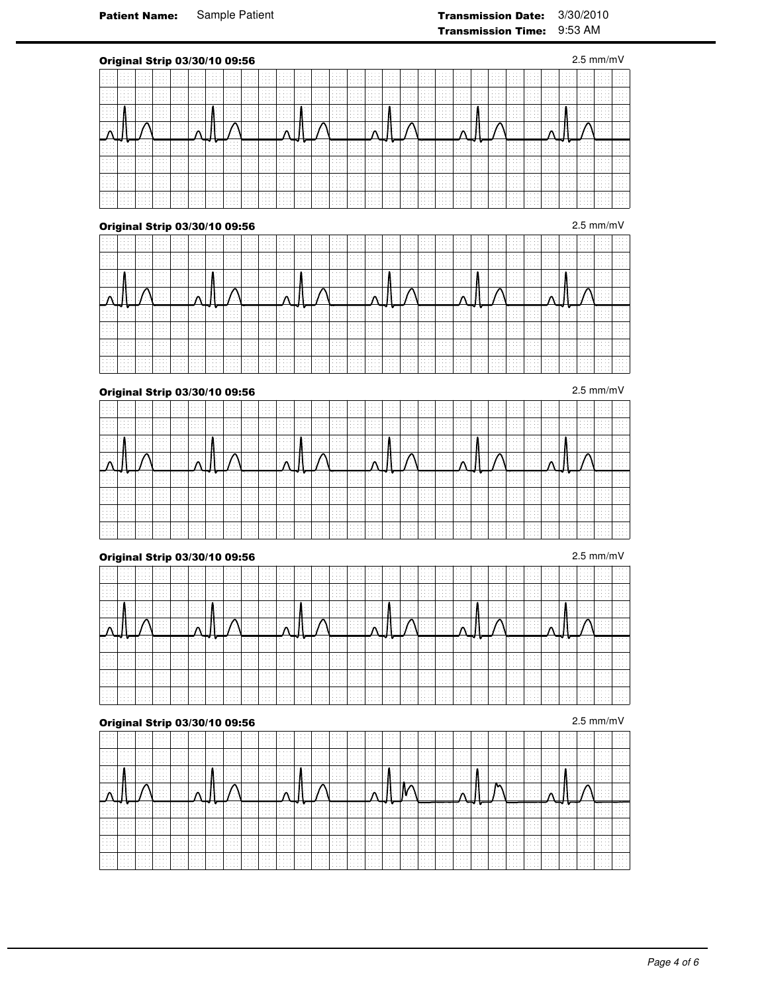|                                                        |   |                                                      |        |            |          | Original Strip 03/30/10 09:56        |                         |  |  |   |   |  |  |  |                         |        |                                   |                      |  |                | $2.5 \text{ mm/mV}$           |   |
|--------------------------------------------------------|---|------------------------------------------------------|--------|------------|----------|--------------------------------------|-------------------------|--|--|---|---|--|--|--|-------------------------|--------|-----------------------------------|----------------------|--|----------------|-------------------------------|---|
| .                                                      |   | .<br>.<br>.<br>.                                     | .      |            |          |                                      |                         |  |  |   |   |  |  |  |                         |        |                                   |                      |  | . .            |                               |   |
| .<br>$\sim$ $\sim$ $\sim$                              | . | 1.111<br>1.111<br>Alberta Co                         | .      | 1.1.1<br>. | .        | .                                    | $\sim$                  |  |  |   |   |  |  |  | $\sim$<br>$\sim$        | .      | .<br>.                            |                      |  | 14.44<br>14.44 |                               |   |
| and and<br>.<br>.<br>.                                 |   | .<br>.<br>.                                          | .      | 1.1.1      |          | .<br>. .                             | $\sim$ $\sim$ $\sim$    |  |  |   | . |  |  |  |                         | .      | .                                 |                      |  | - 14           | $\cdots$                      |   |
|                                                        |   |                                                      |        |            |          |                                      |                         |  |  |   |   |  |  |  |                         |        |                                   |                      |  |                |                               |   |
|                                                        |   | .<br>.<br>1.111                                      | .<br>. | .          |          | .                                    | .                       |  |  | . |   |  |  |  |                         |        | $\sim$ $\sim$ $\sim$<br>.         | <b>All All Adams</b> |  | 14.44          | $\mathbf{A}$ and $\mathbf{A}$ |   |
| .<br>.<br>.                                            | . | $\sim$ $\sim$ $\sim$<br>and an<br>1.1.1<br>1.111     | .      | .<br>.     |          |                                      |                         |  |  |   |   |  |  |  | .                       | .      | $\sim$<br>$\sim$ $\sim$<br>$\sim$ |                      |  |                |                               |   |
| .<br>.                                                 |   | and an<br>1.111<br>and an<br>.                       | .      | .<br>.     |          |                                      |                         |  |  |   |   |  |  |  | $\sim$<br>$\sim$        |        | $\sim$<br>$\sim$                  |                      |  |                |                               |   |
| .<br>$\sim$ $\sim$ $\sim$<br>.<br>$\sim$ $\sim$ $\sim$ | . | and an<br>.<br>$\sim$ $\sim$<br>$\sim$ $\sim$ $\sim$ | .<br>. | 1.1.1<br>. | $\cdots$ | .<br>.                               | $\sim$ $\sim$<br>$\sim$ |  |  |   |   |  |  |  | $\sim$ $\sim$<br>.<br>. | .<br>. | $\sim$ $\sim$ $\sim$<br>.         | 1.1.1                |  | .<br>- 14      |                               | . |
|                                                        |   |                                                      |        |            |          | <b>Original Strip 03/30/10 09:56</b> |                         |  |  |   |   |  |  |  |                         |        |                                   |                      |  |                | $2.5$ mm/mV                   |   |

|         |  |   |         | .           |   | $\sim$ $\sim$        |         | .<br>. |                     | .       |          | 1.1.1.1<br>.              |                                   |                      |   | .<br>.   | <b>All All Adams</b><br>. | $\sim$ $\sim$ $\sim$ |         | .<br>1.1.1.1 |                    |                   |   |         |                      |  |
|---------|--|---|---------|-------------|---|----------------------|---------|--------|---------------------|---------|----------|---------------------------|-----------------------------------|----------------------|---|----------|---------------------------|----------------------|---------|--------------|--------------------|-------------------|---|---------|----------------------|--|
|         |  |   |         |             |   |                      |         |        | .                   |         |          | .                         |                                   |                      |   | .        | .                         |                      |         | .            |                    |                   |   | 1.1.1.1 |                      |  |
|         |  |   |         |             |   |                      |         |        |                     | .       |          | 1.1.1.1                   |                                   |                      |   |          | 1.1.1.1                   |                      |         |              |                    |                   |   |         |                      |  |
|         |  |   |         |             |   |                      |         |        |                     |         |          |                           |                                   |                      |   |          |                           |                      |         |              |                    |                   |   |         |                      |  |
| and and |  |   |         | All Andrews |   | .                    | and and |        | <b>Allen Arrest</b> |         | .        | <b>Service State</b>      | .                                 |                      |   | .        | <b>Sales Andrew</b>       |                      |         |              | .                  | 1.1.1.1           | . |         | $\sim$ $\sim$ $\sim$ |  |
|         |  |   |         |             |   |                      |         |        |                     |         |          | .                         |                                   |                      |   | .        |                           |                      |         |              |                    |                   |   |         |                      |  |
|         |  |   |         |             |   |                      |         |        |                     |         |          | .                         |                                   |                      |   |          |                           |                      |         |              |                    |                   |   |         |                      |  |
| .       |  |   |         |             |   |                      |         | .      |                     | .       |          |                           | .                                 |                      |   | 1.1.1.1  | <b>Allen Arts</b>         | 1.111                |         | Alberta Co   |                    |                   |   |         |                      |  |
|         |  |   |         |             | . |                      |         |        |                     | .       |          | .                         |                                   |                      | . | .        | .                         | .                    |         | .            |                    |                   |   |         |                      |  |
| .       |  |   |         |             |   |                      |         |        |                     |         |          |                           |                                   |                      |   |          |                           |                      |         |              |                    |                   |   |         |                      |  |
|         |  |   |         |             |   |                      |         |        |                     |         |          | .                         | .                                 |                      |   |          |                           | .                    |         |              |                    |                   |   |         |                      |  |
|         |  |   |         |             |   | .                    |         | .      |                     |         | .        | .                         | .                                 |                      |   | 1.1.1.1  | .                         | .                    |         |              |                    |                   | . |         |                      |  |
|         |  | . |         |             |   | .                    |         |        |                     |         | $\cdots$ | .                         |                                   |                      |   | $\cdots$ | .                         |                      |         |              |                    |                   |   |         |                      |  |
|         |  |   |         |             |   |                      | .       |        |                     |         |          | .                         |                                   |                      |   |          |                           |                      |         |              |                    |                   |   |         |                      |  |
|         |  |   |         |             |   |                      |         |        |                     |         |          |                           |                                   |                      |   |          |                           |                      |         |              |                    |                   |   |         |                      |  |
|         |  | . | 1.1.1.1 |             |   | .                    |         |        |                     |         | .        | <b>Allen Artists</b>      | <b>Contract Contract Contract</b> |                      |   | .        | .                         |                      |         |              | .                  | .                 |   |         |                      |  |
|         |  |   |         |             |   |                      |         |        |                     | .       |          | .<br>1.1.1.1              |                                   |                      |   | .        | .                         |                      |         |              |                    |                   |   |         |                      |  |
| 1.1.1.1 |  |   |         |             |   | $\cdots$             |         | .      | .                   | .       | .        | .                         | .                                 | .                    | . | .        | .                         | .                    | .       | .            | .                  | .                 |   |         |                      |  |
|         |  |   |         |             |   |                      |         |        |                     |         |          |                           |                                   |                      |   |          |                           |                      |         |              |                    |                   |   |         |                      |  |
|         |  |   |         | .           |   |                      |         | .      |                     |         |          | 1.1.1.1                   |                                   |                      |   | .        |                           |                      |         |              |                    | .                 |   | .       |                      |  |
|         |  |   |         |             |   |                      |         | .<br>. | .                   | .       | .        | .<br>.                    |                                   | All Arrest           |   | .        | .<br>.                    | All Andrews          |         | .            |                    |                   |   | 1.1.1.1 |                      |  |
|         |  |   |         |             |   |                      |         |        |                     |         |          | .                         |                                   |                      |   |          |                           |                      |         |              |                    |                   |   |         |                      |  |
|         |  |   |         |             |   |                      |         |        |                     |         |          |                           |                                   |                      |   |          |                           |                      |         |              |                    |                   |   |         |                      |  |
|         |  |   |         |             |   | .                    |         |        |                     |         |          | .<br><b>Allen Artists</b> | .                                 |                      | . | .        | <b>Sales Andrew</b>       |                      |         |              | .                  | .                 |   | .       |                      |  |
|         |  |   |         |             |   |                      |         |        | .                   | .       |          | 1.1.1.1                   |                                   |                      |   | .        |                           | All Andrews          |         |              |                    |                   |   |         |                      |  |
|         |  |   |         |             |   |                      |         | .      |                     |         | .        | <b>Allen Artists</b>      |                                   | .                    | . | .        | <b>Sales Andrew</b>       |                      | .       | .            | <b>All All And</b> | .                 |   |         |                      |  |
|         |  |   |         |             |   |                      |         |        |                     | .       | .        | <b>Allen Artists</b>      |                                   | .                    | . | .        | <b>Sales Andrew</b>       |                      |         |              |                    |                   |   |         |                      |  |
|         |  |   |         |             |   | $\sim$ $\sim$ $\sim$ |         | .      |                     | 1.1.1.1 | $\cdots$ | .                         | 1.1.1.1                           |                      | . | .        | .                         | 1.1.1.1              | 1.1.1.1 | 1.1.1.1      | 1.1.1.1            | <b>Allen Arts</b> |   |         |                      |  |
|         |  |   |         | 1.1.1.1     |   | $\sim$ $\sim$ $\sim$ |         |        | .                   | 1.1.1.1 |          | .                         |                                   | $\sim$ $\sim$ $\sim$ |   | .        | .                         |                      |         | .            |                    | .                 |   |         |                      |  |
|         |  |   |         |             |   |                      |         |        |                     |         |          |                           |                                   |                      |   |          |                           |                      |         |              |                    |                   |   |         |                      |  |
|         |  |   |         |             |   |                      |         |        |                     |         |          |                           |                                   |                      |   |          |                           |                      |         |              |                    |                   |   |         |                      |  |

| .                    |                    | .                             | .                                 | .      |                              | 1.1.1.1<br>.                   | .                                                           | .<br>.             | . 1                           | 1.1.1.1<br>. 1     |                                        | .<br>.             |                  | 1.1.1.1                                                                                                                  |                    |                                   | the contract of the                                      | .<br>.   | <b>Allen Artists</b>                                                                                           | .                           |        | .<br>.                             |        |                                                                                                                                                            |                 | the contract of    |   |   |                                   |
|----------------------|--------------------|-------------------------------|-----------------------------------|--------|------------------------------|--------------------------------|-------------------------------------------------------------|--------------------|-------------------------------|--------------------|----------------------------------------|--------------------|------------------|--------------------------------------------------------------------------------------------------------------------------|--------------------|-----------------------------------|----------------------------------------------------------|----------|----------------------------------------------------------------------------------------------------------------|-----------------------------|--------|------------------------------------|--------|------------------------------------------------------------------------------------------------------------------------------------------------------------|-----------------|--------------------|---|---|-----------------------------------|
| 1.1.1.1              |                    | <b>Allen Adams</b><br>1.1.1.1 | .<br>.                            | .<br>. |                              | .<br>.<br>.                    | .<br>.                                                      | 1.1.1.1<br>1.1.1.1 | <b>Allen Avenue</b><br>.      |                    | .<br>.                                 | 1.1.1.1<br>1.1.1.1 | .<br>.           | . 1<br>the state of the con-<br>. 1                                                                                      | .                  | .<br>.                            | <b>Allen Adams</b>                                       | . 1<br>. | <b>Contract Contract Contract</b><br><b>Allen Artists</b><br>.                                                 | .                           | .<br>. | .<br><b>All All And</b><br>.       | .<br>. | .<br>.                                                                                                                                                     |                 |                    |   |   |                                   |
|                      |                    | .<br>. 1                      |                                   |        | <b>Allen Adams</b><br>.<br>. |                                | . 1<br>.<br>.                                               |                    | .                             | .                  |                                        | .<br>.             |                  | .                                                                                                                        | <b>Allen Adams</b> |                                   | .                                                        |          | والمحمد المحمد المحمد المحمد المحمد المحمد المحمد المحمد المحمد المحمد المحمد المحمد المحمد المحمد المحمد<br>. | . 1                         |        | <b>Contract Contract</b><br>.<br>. |        |                                                                                                                                                            | .               |                    |   |   |                                   |
|                      |                    |                               | .                                 | .      | .<br>.                       |                                | $\mathbf{H} \cdot \mathbf{I} \cdot \mathbf{A}$              | .<br>.             | .<br>.<br>.                   | <b>Allen Adams</b> |                                        |                    |                  | . 1<br><b>March 2014</b> (March 2014)<br>the contract of the contract of the                                             | .                  | the second contract of the second | <b>The second contract of the second second contract</b> |          | <del>ت با ای</del> این این این ا<br>the contract of the                                                        | . 1<br><b>State State</b>   |        | ਾਮ ਾ∽∧ਾਂ                           | .      | .<br>.                                                                                                                                                     | and a series of |                    |   |   |                                   |
|                      |                    | .                             | the company's company's company's |        | . 1                          | .<br>.                         | <b>A</b> The search of the search of the search of the<br>. | .                  |                               | . 1                |                                        |                    | .                | ਾ ਸ਼ਾਹਰ ਮਾਮ ਦਾ ਸ਼ਾਹਰ ਸ਼ਾਹਰ ਸ਼ਾਹਰ ਮੈਂ ਸ਼ਾਹਰ ਸ਼ਾਹਰ ਸ਼ਾਹਰ ਸ਼ਾਹਰ ਸ਼ਾਹਰ ਸ਼ਾਹਰ ਸ਼ਾਹਰ ਸ਼ਾਹਰ ਸ਼ਾਹਰ ਸ਼ਾਹਰ ਸ਼ਾਹਰ ਸ਼ਾਹਰ ਸ<br>.<br>. | . 1<br>.           | .                                 | .                                                        | .        | .<br>.<br>and and                                                                                              |                             | . 1 1  | .                                  |        | <b>A CONTRACT DESCRIPTION OF A REPORT OF A SECOND PROPERTY OF A SECOND PROPERTY OF A SECOND PROPERTY OF A SECOND </b><br><b>Contract Contract Contract</b> |                 | <b>Allen Allen</b> | . |   |                                   |
|                      |                    | 1.1.1.1<br>.                  |                                   |        |                              | .<br><b>Allen Artists</b>      | .<br>.                                                      | .<br>.             |                               |                    | .<br>.                                 | .                  |                  | .<br>. 1                                                                                                                 | .                  | <b>Allen Arts</b>                 | 1.1.1.1                                                  | .<br>.   | .<br>.                                                                                                         | <b>State Street</b><br>.    | .      | .<br>. 1 1                         | .      | .                                                                                                                                                          |                 |                    |   |   |                                   |
|                      |                    | 1.1.1.1                       |                                   | .      | .                            | .<br>.<br><b>Service</b> State | .                                                           |                    | the contract of the con-<br>. | .                  | <b>Contract Contract Contract</b><br>. | .                  | the state of the | <b>Allen Avenue</b><br>.<br>. 1                                                                                          | .<br>.<br>.        | .<br><b>Allen Artists</b>         | .                                                        | .<br>.   | the contract of the con-<br>the state of the state                                                             |                             | .<br>. | .<br>.<br>.                        | .      | .<br>.                                                                                                                                                     | .               |                    |   |   |                                   |
| $\sim$ $\sim$ $\sim$ | <b>A. A. A. A.</b> | .<br>.                        | .                                 | .      |                              | .                              | .<br>.                                                      | .                  | .                             |                    | .                                      | 1.1.1.1            | .                | .<br>the state of the con-                                                                                               | .                  | .                                 |                                                          | .<br>.   | .<br>.                                                                                                         | .<br><b>All All Andrews</b> | .      | .<br>.                             | .      | .<br>.                                                                                                                                                     | .<br>.          | 1.1.1.1<br>. 1     | . | . | <b>Contract Contract Contract</b> |

# **Original Strip 03/30/10 09:56** 2.5 mm/mV

| .                                                                                                              |   | .                 |                       |                 |                      |   |   |                                              |   | .                 |   |                                                               |              |  |                     |              |  |  |  |  |  |
|----------------------------------------------------------------------------------------------------------------|---|-------------------|-----------------------|-----------------|----------------------|---|---|----------------------------------------------|---|-------------------|---|---------------------------------------------------------------|--------------|--|---------------------|--------------|--|--|--|--|--|
| .                                                                                                              |   | Alberta Co<br>.   |                       | Alberta College |                      | . |   | 1.111                                        |   | .                 |   |                                                               |              |  |                     |              |  |  |  |  |  |
| 1.1.1.1<br>and and<br><b>State State</b>                                                                       |   | 1.1.1.1<br>.<br>. | .                     | .               | .                    |   | . | $\sim$ $\sim$                                |   | .<br>.            |   |                                                               |              |  |                     |              |  |  |  |  |  |
|                                                                                                                |   |                   | .<br>All Andrews<br>. | .               | $\sim$ $\sim$ $\sim$ |   |   |                                              | . |                   |   | the company's com-<br>$-1$ , $-1$ , $-1$ , $-1$ , $-1$ , $-1$ | All Andrew   |  | and a state of<br>. |              |  |  |  |  |  |
| .                                                                                                              |   | .<br>.            |                       | 1.1.1.1         |                      |   | . | $\sim$ $\sim$ $\sim$<br>$\sim$ $\sim$ $\sim$ | . | <del>.</del><br>. |   |                                                               | .            |  |                     | <del>.</del> |  |  |  |  |  |
| .                                                                                                              |   | .                 |                       | .               |                      |   |   |                                              |   |                   |   |                                                               |              |  |                     |              |  |  |  |  |  |
|                                                                                                                | . | .                 | .                     | .               | .                    |   |   | .                                            |   | .                 | . |                                                               |              |  |                     |              |  |  |  |  |  |
| $\label{eq:2.1} \begin{array}{cccccccccccccc} \alpha & \alpha & \alpha & \alpha & \alpha & \alpha \end{array}$ |   | .<br>.            |                       | 1.1.1.1         |                      | . |   | $\sim$ $\sim$ $\sim$                         |   | .<br>.            | . |                                                               | Alberta Card |  |                     |              |  |  |  |  |  |

| 1.1.1.1 |         |   |                       |   |                      |       |                     | <b>Allen Adams</b> |         |     | .                                          |                | .                                  | 1.1.1.1 | .                                     |      |            |               |                          |   |  |  |
|---------|---------|---|-----------------------|---|----------------------|-------|---------------------|--------------------|---------|-----|--------------------------------------------|----------------|------------------------------------|---------|---------------------------------------|------|------------|---------------|--------------------------|---|--|--|
|         |         |   |                       |   |                      |       |                     |                    |         |     |                                            |                |                                    |         |                                       |      |            |               |                          |   |  |  |
|         |         |   |                       |   | :11: : 1             |       | la Alberterri       |                    |         |     | dhe k⊿N sse best                           |                | $\mathsf{I} \mathsf{I} \mathsf{M}$ |         | the state of the con-                 |      |            |               |                          |   |  |  |
|         |         | . |                       | . |                      |       | Allen and a control | التنتينا           |         |     |                                            | <b>Service</b> |                                    |         | ka a a an<br><b>Contract Contract</b> |      | անեն հայտն | <b>Martin</b> | the contract of the con- |   |  |  |
|         | .       |   | the state of the con- |   | 11 H                 | ' / \ |                     | ำ∧                 | -11 : I | -13 | All contracts and the second states of the |                |                                    |         |                                       |      |            |               |                          |   |  |  |
|         |         |   |                       |   |                      |       |                     |                    |         |     |                                            |                |                                    |         |                                       |      |            |               |                          | ⋍ |  |  |
|         |         |   |                       |   |                      |       |                     |                    |         |     |                                            |                |                                    |         |                                       | 47 H |            |               |                          |   |  |  |
|         |         |   |                       |   |                      |       |                     |                    |         |     |                                            |                |                                    |         |                                       |      |            |               |                          |   |  |  |
|         |         |   |                       |   |                      |       |                     |                    |         |     |                                            |                |                                    |         |                                       |      |            |               |                          |   |  |  |
|         |         |   |                       |   |                      |       |                     |                    |         |     |                                            |                |                                    |         |                                       |      |            |               |                          |   |  |  |
|         |         |   |                       |   |                      |       |                     |                    |         |     |                                            |                |                                    |         |                                       |      |            |               |                          |   |  |  |
|         |         |   |                       |   |                      |       |                     |                    |         |     |                                            |                |                                    |         |                                       |      |            |               |                          |   |  |  |
|         |         |   |                       |   |                      |       |                     |                    |         |     |                                            |                |                                    |         |                                       |      |            |               |                          |   |  |  |
|         |         |   |                       |   |                      |       |                     |                    |         |     |                                            |                |                                    |         |                                       |      |            |               |                          |   |  |  |
|         |         |   |                       |   |                      |       |                     |                    |         |     |                                            |                |                                    |         |                                       |      |            |               |                          |   |  |  |
|         |         |   |                       |   |                      |       |                     |                    |         |     |                                            |                |                                    |         |                                       |      |            |               |                          |   |  |  |
| .       |         |   | .                     |   |                      |       |                     |                    |         |     |                                            |                |                                    |         |                                       |      |            |               |                          |   |  |  |
|         |         |   |                       |   |                      |       |                     |                    |         |     |                                            |                |                                    |         |                                       |      |            |               |                          |   |  |  |
|         | 1.1.1.1 |   |                       |   | $\sim$ $\sim$ $\sim$ |       |                     | .                  |         |     |                                            |                |                                    |         |                                       |      |            |               |                          |   |  |  |
|         |         |   |                       |   |                      |       |                     |                    |         |     |                                            |                |                                    |         |                                       |      |            |               |                          |   |  |  |
|         |         |   |                       |   |                      |       |                     |                    |         |     |                                            |                |                                    |         |                                       |      |            |               |                          |   |  |  |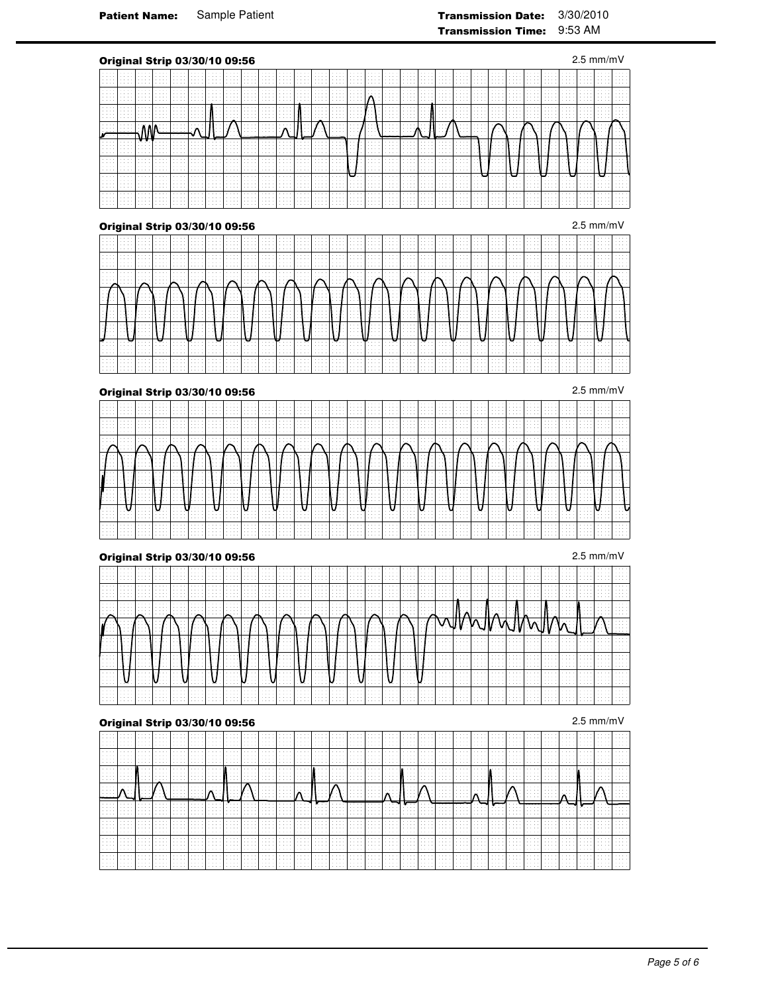| Original Strip 03/30/10 09:56 |                      |        |        |        |   |        |                          |                                 |                    |  |                            |  |               |             |        |  |  |  | $2.5$ mm/mV |  |
|-------------------------------|----------------------|--------|--------|--------|---|--------|--------------------------|---------------------------------|--------------------|--|----------------------------|--|---------------|-------------|--------|--|--|--|-------------|--|
|                               |                      |        |        |        |   |        |                          |                                 |                    |  |                            |  |               |             |        |  |  |  |             |  |
|                               | .<br>c.              | e e e  | o al   |        |   |        | $\sim$                   |                                 |                    |  |                            |  |               |             |        |  |  |  |             |  |
|                               | idir.                |        |        |        |   |        |                          |                                 |                    |  |                            |  |               |             |        |  |  |  |             |  |
|                               | -WV                  |        |        |        |   |        | $\Lambda$                |                                 |                    |  |                            |  |               |             |        |  |  |  |             |  |
|                               |                      |        |        |        |   |        |                          |                                 |                    |  |                            |  |               |             |        |  |  |  |             |  |
|                               |                      |        |        |        |   |        |                          |                                 |                    |  |                            |  |               |             |        |  |  |  |             |  |
|                               | i i s<br>a.<br>i a a | e e el | $\sim$ | والداء |   | $\sim$ | $\sim$                   | in an                           | $\sim$             |  | <b>Carlos</b>              |  | $\sim$ $\sim$ | $1 - 1 = 1$ | $\sim$ |  |  |  |             |  |
|                               | Ħ                    | Ħ      |        |        | . |        | $\mathbb{R}^2$<br>$\sim$ | $\epsilon \rightarrow \infty$ . | $\mathbb{C}$<br>×, |  | $\alpha \rightarrow \beta$ |  |               | H.          |        |  |  |  |             |  |
|                               |                      |        |        |        |   |        |                          |                                 |                    |  |                            |  |               |             |        |  |  |  |             |  |
| Original Strip 03/30/10 09:56 |                      |        |        |        |   |        |                          |                                 |                    |  |                            |  |               |             |        |  |  |  | $2.5$ mm/mV |  |
|                               |                      |        |        |        |   |        |                          |                                 |                    |  |                            |  |               |             |        |  |  |  |             |  |
|                               |                      |        |        |        |   |        |                          |                                 |                    |  |                            |  |               |             |        |  |  |  |             |  |
|                               |                      |        |        |        |   |        |                          |                                 |                    |  |                            |  |               |             |        |  |  |  |             |  |
|                               |                      |        |        |        |   |        |                          |                                 |                    |  |                            |  |               |             |        |  |  |  |             |  |
|                               |                      |        |        |        |   |        |                          |                                 |                    |  |                            |  |               |             |        |  |  |  |             |  |
|                               |                      |        |        |        |   |        |                          |                                 |                    |  |                            |  |               |             |        |  |  |  |             |  |
|                               |                      |        |        |        |   |        |                          |                                 |                    |  |                            |  |               |             |        |  |  |  |             |  |
|                               |                      |        |        |        |   |        |                          |                                 |                    |  |                            |  |               |             |        |  |  |  |             |  |
|                               |                      |        |        |        |   |        |                          |                                 |                    |  |                            |  |               |             |        |  |  |  |             |  |
| Original Strip 03/30/10 09:56 |                      |        |        |        |   |        |                          |                                 |                    |  |                            |  |               |             |        |  |  |  | $2.5$ mm/mV |  |
|                               |                      |        |        |        |   |        |                          |                                 |                    |  |                            |  |               |             |        |  |  |  |             |  |
|                               | o,<br>a.             |        |        |        |   |        | $\sim$<br>$\sim$         |                                 |                    |  |                            |  |               |             |        |  |  |  |             |  |
|                               |                      |        |        |        |   |        |                          |                                 | 5                  |  |                            |  |               |             |        |  |  |  |             |  |

|                  |        |        |   |   | . |  |        |   |   |   |   |        |   |   |        |   |             |   | . | in the CN construction of the Alexander CN construction of the Alexander CN construction of the Alexander CN const |   |        |   |        |   |             | . |   |
|------------------|--------|--------|---|---|---|--|--------|---|---|---|---|--------|---|---|--------|---|-------------|---|---|--------------------------------------------------------------------------------------------------------------------|---|--------|---|--------|---|-------------|---|---|
| .                |        | .      |   | . |   |  |        |   |   | . |   |        |   |   |        |   |             |   | . |                                                                                                                    |   |        |   |        |   | .           |   |   |
|                  | .      | .<br>. | . |   | . |  | .<br>. | . |   | . |   |        |   |   |        |   | .<br>.<br>. |   |   |                                                                                                                    |   |        |   | .<br>. |   | .<br>.<br>. |   |   |
| .<br>.           | .      | .      |   |   |   |  |        |   |   |   |   | .      |   |   |        |   |             |   |   | .                                                                                                                  | . |        |   |        |   | .<br>.      |   |   |
| .<br>.<br>.<br>. | .<br>. |        |   |   |   |  | .      |   |   |   |   |        |   |   |        |   |             |   |   |                                                                                                                    |   |        |   |        | . | .           |   | . |
| .<br>.<br>.<br>. | .      | .<br>. | . |   |   |  | .<br>. |   | . |   | . | .<br>. | . | . | .<br>. | . | .           | . | . | .                                                                                                                  | . | .<br>. | . | .      | . |             |   |   |

| ▱ |    |  |  | .                                                                    | $\sim$ |        |  |   | .      |  |                       | <b>Sales Andrew</b> |  |  | . |  |                      |  |
|---|----|--|--|----------------------------------------------------------------------|--------|--------|--|---|--------|--|-----------------------|---------------------|--|--|---|--|----------------------|--|
| 7 |    |  |  |                                                                      |        |        |  |   |        |  |                       |                     |  |  |   |  |                      |  |
|   |    |  |  |                                                                      |        |        |  |   |        |  |                       |                     |  |  |   |  | $\sim$ $\sim$ $\sim$ |  |
|   |    |  |  |                                                                      |        |        |  |   |        |  |                       |                     |  |  |   |  |                      |  |
|   | ⋯⋯ |  |  | $\sim$ $\sim$ $\sim$<br><b>Service State</b><br><b>Service</b> State |        | $\sim$ |  | . | $\sim$ |  | the state of the<br>. | .                   |  |  |   |  |                      |  |
|   |    |  |  |                                                                      |        |        |  |   |        |  |                       |                     |  |  |   |  |                      |  |

|  |   | the contract of the             | .                | . | the company of the company |                      | .                                              | the contract of the                                            |                                                               | the company of the company | <b>All All And</b>        | the state of the                               | the state of the con-                                                                                       | the state of the                                                                                    | the contract of the                           | <b>All All All Ad</b>             | .<br>the state of the                                                                  | the state of the con-<br>.<br>.                                                                | <b>All All All Advised Association</b>                                | the contract of the con-<br>.                        | the state of the<br>. | the state of the<br>.                     | .                        |         | <b>Allen Arrest</b> |  |  |
|--|---|---------------------------------|------------------|---|----------------------------|----------------------|------------------------------------------------|----------------------------------------------------------------|---------------------------------------------------------------|----------------------------|---------------------------|------------------------------------------------|-------------------------------------------------------------------------------------------------------------|-----------------------------------------------------------------------------------------------------|-----------------------------------------------|-----------------------------------|----------------------------------------------------------------------------------------|------------------------------------------------------------------------------------------------|-----------------------------------------------------------------------|------------------------------------------------------|-----------------------|-------------------------------------------|--------------------------|---------|---------------------|--|--|
|  | . |                                 | 1.1.1.1          |   | .                          |                      |                                                |                                                                |                                                               | <b>Allen Arrest</b>        | Alberta Co                |                                                | and and                                                                                                     |                                                                                                     |                                               |                                   | .                                                                                      | and and                                                                                        | .                                                                     |                                                      |                       | .                                         |                          |         |                     |  |  |
|  |   | the state of the<br>.<br>.<br>. | .<br>.<br>.<br>. |   | .<br>.                     | .<br>.               | the state of the<br>.<br>the state of the<br>. | the contract of the con-<br>.<br>the contract of the con-<br>. | the property of the<br><b>Contract Contract Contract</b><br>. | . 1                        | .<br>.<br>.               | the state of the<br>.<br>the state of the<br>. | the contract of the con-<br><b>Contract Contract Contract</b><br>the contract of the<br><b>Sales Andrew</b> | the state of the<br>the state of the state<br>the state of the<br><b>Contract Contract Contract</b> | the state of the con-                         | <b><i>BALLARD</i></b><br>.        | the state of the<br>the state of the con-<br>the state of the<br>the state of the con- | the contract of the con-<br><b>Contract Contract Contract</b><br>the contract of the con-<br>. | the state of the<br>the state of the state<br>the state of the<br>. 1 | the contract of the con-                             | .<br>.<br>.           | the state of the<br>.<br>the state of the | <b>Sales Andrew</b><br>. |         | .<br>.              |  |  |
|  |   |                                 |                  |   |                            | $\sim$ $\sim$ $\sim$ |                                                | .                                                              |                                                               |                            |                           | $\mathbf{A}$<br>.                              | . 1<br>.<br><b>Service</b> Property                                                                         | .<br>.                                                                                              |                                               |                                   |                                                                                        | <b>Allen Andre</b><br>.                                                                        | <b>Contract Contract Contract</b><br>the state of the state           | . 1                                                  | .<br>.                |                                           | .                        | .       |                     |  |  |
|  |   |                                 |                  |   | the contract of            | 1.1.1.1              |                                                |                                                                | the state of the                                              | .<br><b>Allen Allen</b>    | $\overline{1}$<br>1.1.1.1 | the state of the<br>.                          | .<br><b>Allen Andre</b>                                                                                     | .<br>.                                                                                              | .<br><b>Allen Allen</b><br><b>Allen Allen</b> | <b>Contract Contract Contract</b> | the state of the con-<br>.                                                             | .<br>.                                                                                         | .<br>.                                                                | .<br><b>Contract Contract</b><br><b>Allen Arrest</b> | .                     | .                                         |                          | 1.1.1.1 | <b>Allen Allen</b>  |  |  |
|  |   |                                 |                  |   |                            |                      |                                                |                                                                |                                                               |                            |                           |                                                |                                                                                                             |                                                                                                     |                                               |                                   | .<br>.                                                                                 | .                                                                                              | .                                                                     | <b>Allen Allen</b>                                   | <b>State State</b>    | .                                         | <b>Sales Andrew</b>      |         |                     |  |  |
|  |   |                                 |                  |   |                            |                      |                                                |                                                                |                                                               |                            |                           |                                                |                                                                                                             |                                                                                                     |                                               |                                   |                                                                                        | .                                                                                              |                                                                       |                                                      |                       |                                           |                          |         |                     |  |  |
|  |   |                                 |                  |   |                            |                      |                                                |                                                                |                                                               |                            | .                         |                                                |                                                                                                             |                                                                                                     | .                                             |                                   |                                                                                        | .                                                                                              |                                                                       | .                                                    |                       |                                           |                          |         |                     |  |  |